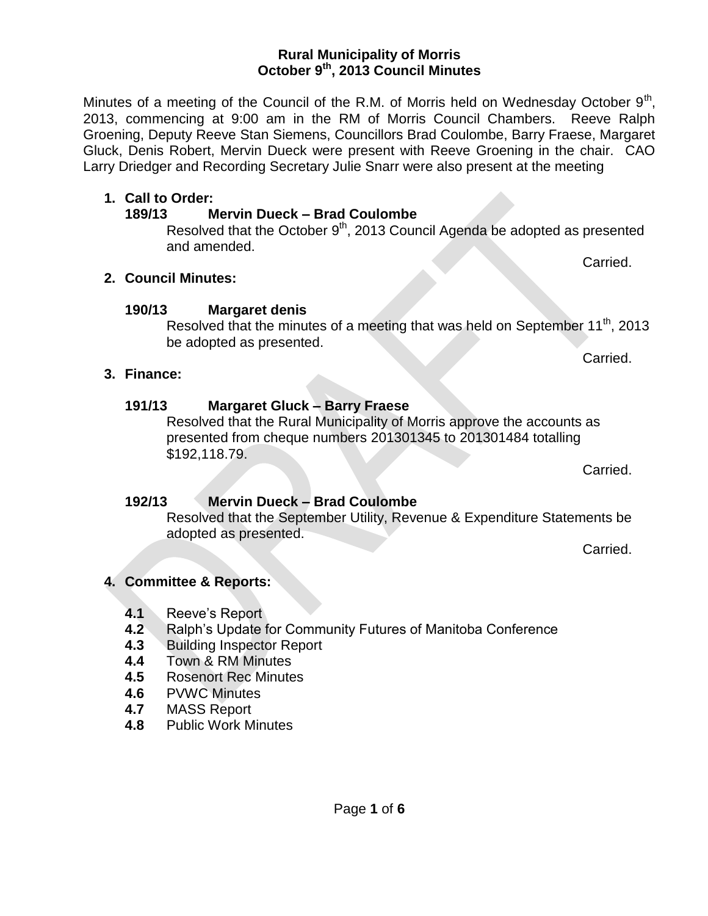Resolved that the Rural Municipality of Morris approve the accounts as presented from cheque numbers 201301345 to 201301484 totalling

Resolved that the September Utility, Revenue & Expenditure Statements be

- **4.1** Reeve's Report
- **4.2** Ralph's Update for Community Futures of Manitoba Conference
- **4.3** Building Inspector Report

adopted as presented.

- **4.4** Town & RM Minutes
- **4.5** Rosenort Rec Minutes
- **4.6** PVWC Minutes
- **4.7** MASS Report
- **4.8** Public Work Minutes

#### **Rural Municipality of Morris October 9th , 2013 Council Minutes**

Minutes of a meeting of the Council of the R.M. of Morris held on Wednesday October  $9<sup>th</sup>$ , 2013, commencing at 9:00 am in the RM of Morris Council Chambers. Reeve Ralph Groening, Deputy Reeve Stan Siemens, Councillors Brad Coulombe, Barry Fraese, Margaret Gluck, Denis Robert, Mervin Dueck were present with Reeve Groening in the chair. CAO Larry Driedger and Recording Secretary Julie Snarr were also present at the meeting

#### **1. Call to Order:**

**2. Council Minutes:**

**3. Finance:**

**190/13 Margaret denis**

\$192,118.79.

be adopted as presented.

**191/13 Margaret Gluck – Barry Fraese**

**192/13 Mervin Dueck – Brad Coulombe**

#### **189/13 Mervin Dueck – Brad Coulombe**

Resolved that the October  $9<sup>th</sup>$ , 2013 Council Agenda be adopted as presented and amended.

Resolved that the minutes of a meeting that was held on September 11<sup>th</sup>, 2013

Carried.

Carried.

# Carried.

Carried.

## Page **1** of **6**

- 
- 

**4. Committee & Reports:**

- -
	-
	-
	-
- 
- 
-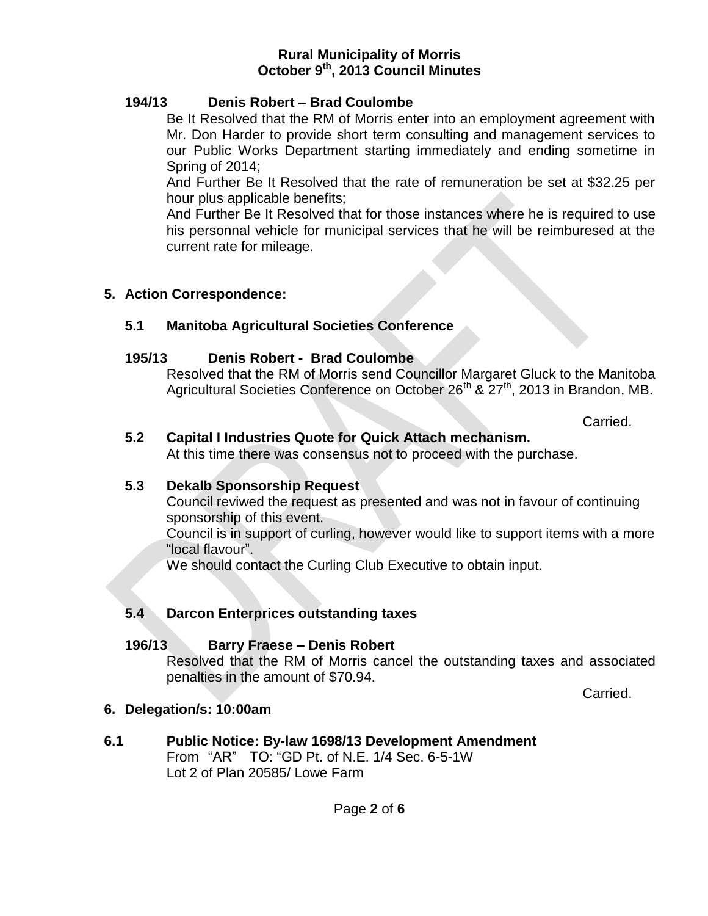## **194/13 Denis Robert – Brad Coulombe**

Be It Resolved that the RM of Morris enter into an employment agreement with Mr. Don Harder to provide short term consulting and management services to our Public Works Department starting immediately and ending sometime in Spring of 2014;

And Further Be It Resolved that the rate of remuneration be set at \$32.25 per hour plus applicable benefits;

And Further Be It Resolved that for those instances where he is required to use his personnal vehicle for municipal services that he will be reimburesed at the current rate for mileage.

## **5. Action Correspondence:**

## **5.1 Manitoba Agricultural Societies Conference**

## **195/13 Denis Robert - Brad Coulombe**

Resolved that the RM of Morris send Councillor Margaret Gluck to the Manitoba Agricultural Societies Conference on October 26<sup>th</sup> & 27<sup>th</sup>, 2013 in Brandon, MB.

Carried.

## **5.2 Capital I Industries Quote for Quick Attach mechanism.**

At this time there was consensus not to proceed with the purchase.

## **5.3 Dekalb Sponsorship Request**

Council reviwed the request as presented and was not in favour of continuing sponsorship of this event.

Council is in support of curling, however would like to support items with a more "local flavour".

We should contact the Curling Club Executive to obtain input.

## **5.4 Darcon Enterprices outstanding taxes**

## **196/13 Barry Fraese – Denis Robert**

Resolved that the RM of Morris cancel the outstanding taxes and associated penalties in the amount of \$70.94.

Carried.

## **6. Delegation/s: 10:00am**

#### **6.1 Public Notice: By-law 1698/13 Development Amendment** From "AR" TO: "GD Pt. of N.E. 1/4 Sec. 6-5-1W Lot 2 of Plan 20585/ Lowe Farm

## Page **2** of **6**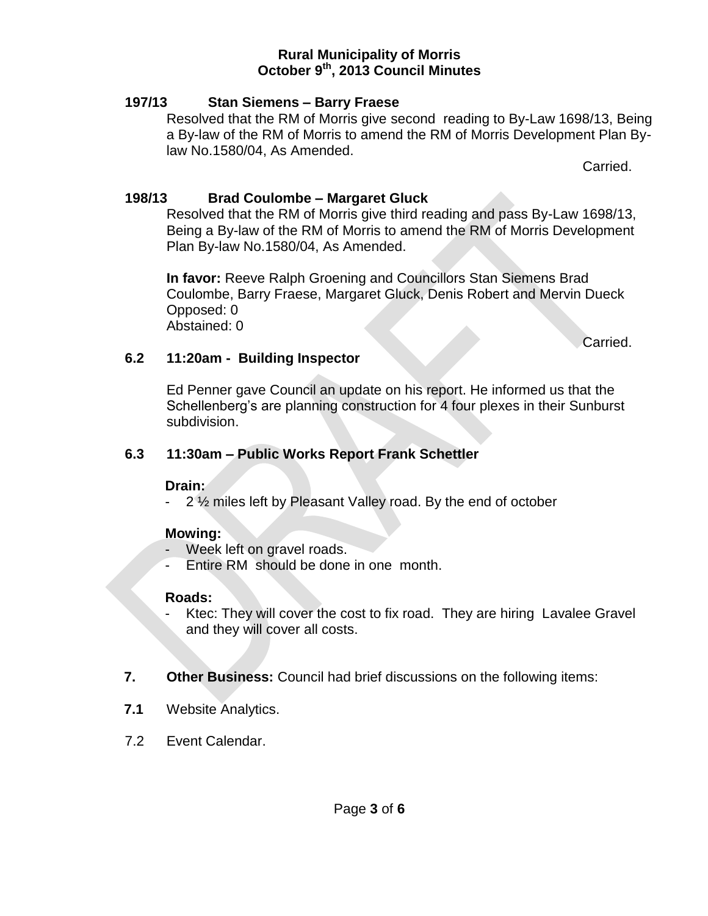## **197/13 Stan Siemens – Barry Fraese**

Resolved that the RM of Morris give second reading to By-Law 1698/13, Being a By-law of the RM of Morris to amend the RM of Morris Development Plan Bylaw No.1580/04, As Amended.

Carried.

## **198/13 Brad Coulombe – Margaret Gluck**

Resolved that the RM of Morris give third reading and pass By-Law 1698/13, Being a By-law of the RM of Morris to amend the RM of Morris Development Plan By-law No.1580/04, As Amended.

**In favor:** Reeve Ralph Groening and Councillors Stan Siemens Brad Coulombe, Barry Fraese, Margaret Gluck, Denis Robert and Mervin Dueck Opposed: 0 Abstained: 0

Carried.

## **6.2 11:20am - Building Inspector**

Ed Penner gave Council an update on his report. He informed us that the Schellenberg's are planning construction for 4 four plexes in their Sunburst subdivision.

## **6.3 11:30am – Public Works Report Frank Schettler**

## **Drain:**

- 2 ½ miles left by Pleasant Valley road. By the end of october

## **Mowing:**

- Week left on gravel roads.
- Entire RM should be done in one month.

## **Roads:**

- Ktec: They will cover the cost to fix road. They are hiring Lavalee Gravel and they will cover all costs.
- **7. Other Business:** Council had brief discussions on the following items:
- **7.1** Website Analytics.
- 7.2 Event Calendar.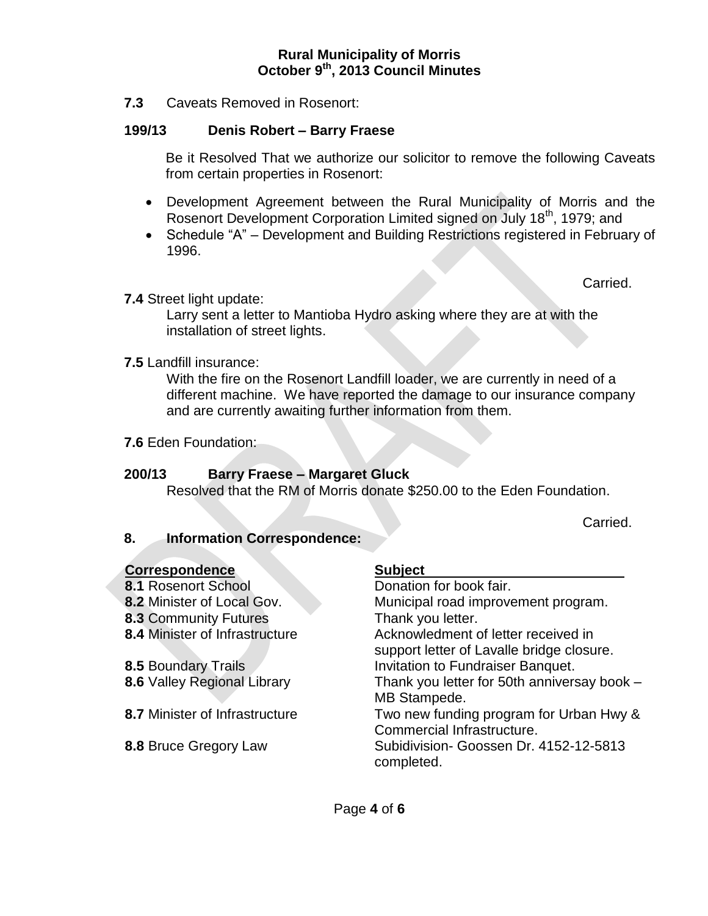**7.3** Caveats Removed in Rosenort:

## **199/13 Denis Robert – Barry Fraese**

Be it Resolved That we authorize our solicitor to remove the following Caveats from certain properties in Rosenort:

- Development Agreement between the Rural Municipality of Morris and the Rosenort Development Corporation Limited signed on July 18<sup>th</sup>, 1979; and
- Schedule "A" Development and Building Restrictions registered in February of 1996.

Carried.

**7.4** Street light update:

Larry sent a letter to Mantioba Hydro asking where they are at with the installation of street lights.

**7.5** Landfill insurance:

With the fire on the Rosenort Landfill loader, we are currently in need of a different machine. We have reported the damage to our insurance company and are currently awaiting further information from them.

**7.6** Eden Foundation:

## **200/13 Barry Fraese – Margaret Gluck**

Resolved that the RM of Morris donate \$250.00 to the Eden Foundation.

Carried.

## **8. Information Correspondence:**

| <b>Correspondence</b>          | <b>Subject</b>                                              |
|--------------------------------|-------------------------------------------------------------|
| 8.1 Rosenort School            | Donation for book fair.                                     |
| 8.2 Minister of Local Gov.     | Municipal road improvement program.                         |
| 8.3 Community Futures          | Thank you letter.                                           |
| 8.4 Minister of Infrastructure | Acknowledment of letter received in                         |
|                                | support letter of Lavalle bridge closure.                   |
| 8.5 Boundary Trails            | Invitation to Fundraiser Banquet.                           |
| 8.6 Valley Regional Library    | Thank you letter for 50th anniversay book -<br>MB Stampede. |
| 8.7 Minister of Infrastructure | Two new funding program for Urban Hwy &                     |
|                                | Commercial Infrastructure.                                  |
| 8.8 Bruce Gregory Law          | Subidivision- Goossen Dr. 4152-12-5813<br>completed.        |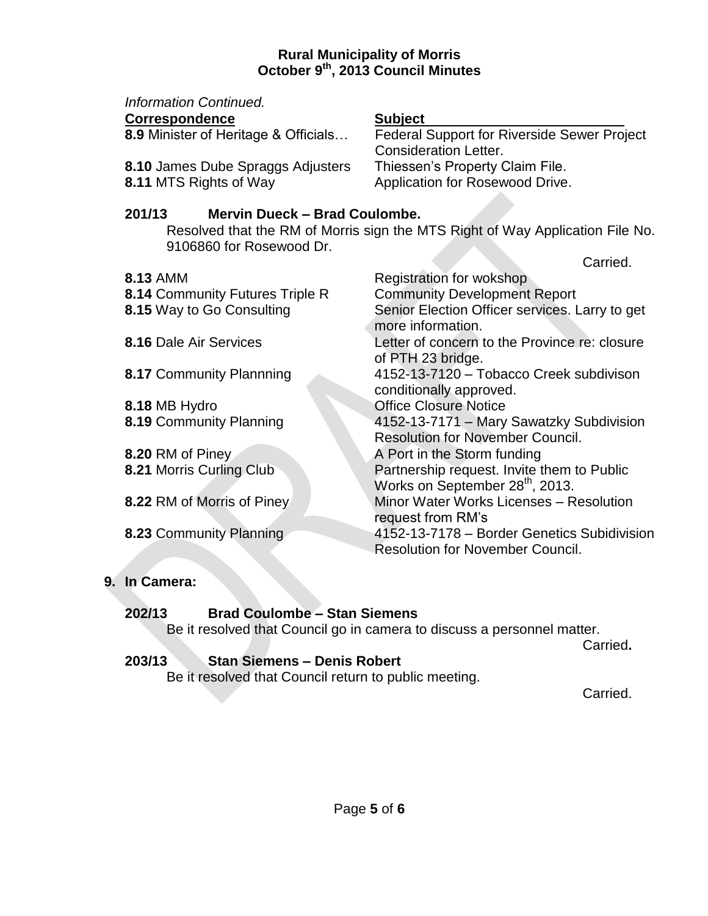| Information Continued.<br><b>Correspondence</b><br>8.9 Minister of Heritage & Officials<br>8.10 James Dube Spraggs Adjusters<br>8.11 MTS Rights of Way | <b>Subject</b><br>Federal Support for Riverside Sewer Project<br><b>Consideration Letter.</b><br>Thiessen's Property Claim File.<br>Application for Rosewood Drive. |
|--------------------------------------------------------------------------------------------------------------------------------------------------------|---------------------------------------------------------------------------------------------------------------------------------------------------------------------|
| Mervin Dueck - Brad Coulombe.<br>201/13<br>Resolved that the RM of Morris sign the MTS Right of Way Application File No.<br>9106860 for Rosewood Dr.   |                                                                                                                                                                     |
|                                                                                                                                                        | Carried.                                                                                                                                                            |
| <b>8.13 AMM</b>                                                                                                                                        | Registration for wokshop                                                                                                                                            |
| 8.14 Community Futures Triple R                                                                                                                        | <b>Community Development Report</b>                                                                                                                                 |
| 8.15 Way to Go Consulting                                                                                                                              | Senior Election Officer services. Larry to get<br>more information.                                                                                                 |
| <b>8.16 Dale Air Services</b>                                                                                                                          | Letter of concern to the Province re: closure<br>of PTH 23 bridge.                                                                                                  |
| 8.17 Community Plannning                                                                                                                               | 4152-13-7120 - Tobacco Creek subdivison<br>conditionally approved.                                                                                                  |
| 8.18 MB Hydro                                                                                                                                          | <b>Office Closure Notice</b>                                                                                                                                        |
| 8.19 Community Planning                                                                                                                                | 4152-13-7171 - Mary Sawatzky Subdivision                                                                                                                            |
|                                                                                                                                                        | <b>Resolution for November Council.</b>                                                                                                                             |
| 8.20 RM of Piney                                                                                                                                       | A Port in the Storm funding                                                                                                                                         |
| 8.21 Morris Curling Club                                                                                                                               | Partnership request. Invite them to Public<br>Works on September 28 <sup>th</sup> , 2013.                                                                           |
|                                                                                                                                                        | Minor Water Works Licenses - Resolution                                                                                                                             |
| 8.22 RM of Morris of Piney                                                                                                                             |                                                                                                                                                                     |
|                                                                                                                                                        | request from RM's<br>4152-13-7178 - Border Genetics Subidivision                                                                                                    |
| 8.23 Community Planning                                                                                                                                | <b>Resolution for November Council.</b>                                                                                                                             |
|                                                                                                                                                        |                                                                                                                                                                     |

# **9. In Camera:**

## **202/13 Brad Coulombe – Stan Siemens**

Be it resolved that Council go in camera to discuss a personnel matter.

Carried**.**

# **203/13 Stan Siemens – Denis Robert**

Be it resolved that Council return to public meeting.

Carried.